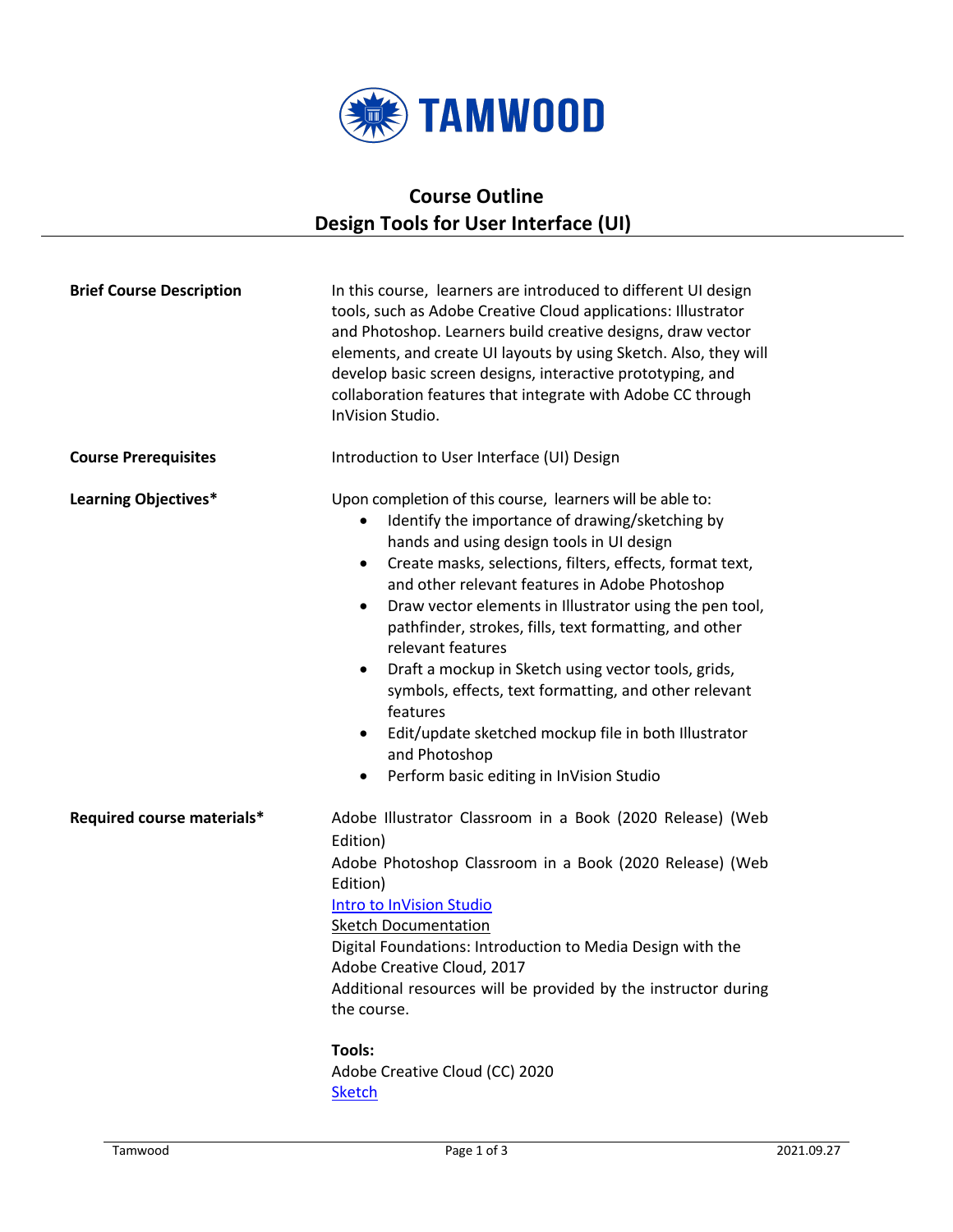

## **Course Outline Design Tools for User Interface (UI)**

| <b>Brief Course Description</b> | In this course, learners are introduced to different UI design<br>tools, such as Adobe Creative Cloud applications: Illustrator<br>and Photoshop. Learners build creative designs, draw vector<br>elements, and create UI layouts by using Sketch. Also, they will<br>develop basic screen designs, interactive prototyping, and<br>collaboration features that integrate with Adobe CC through<br>InVision Studio.                                                                                                                                                                                                                                                                                         |
|---------------------------------|-------------------------------------------------------------------------------------------------------------------------------------------------------------------------------------------------------------------------------------------------------------------------------------------------------------------------------------------------------------------------------------------------------------------------------------------------------------------------------------------------------------------------------------------------------------------------------------------------------------------------------------------------------------------------------------------------------------|
| <b>Course Prerequisites</b>     | Introduction to User Interface (UI) Design                                                                                                                                                                                                                                                                                                                                                                                                                                                                                                                                                                                                                                                                  |
| <b>Learning Objectives*</b>     | Upon completion of this course, learners will be able to:<br>Identify the importance of drawing/sketching by<br>٠<br>hands and using design tools in UI design<br>Create masks, selections, filters, effects, format text,<br>٠<br>and other relevant features in Adobe Photoshop<br>Draw vector elements in Illustrator using the pen tool,<br>$\bullet$<br>pathfinder, strokes, fills, text formatting, and other<br>relevant features<br>Draft a mockup in Sketch using vector tools, grids,<br>$\bullet$<br>symbols, effects, text formatting, and other relevant<br>features<br>Edit/update sketched mockup file in both Illustrator<br>and Photoshop<br>Perform basic editing in InVision Studio<br>٠ |
| Required course materials*      | Adobe Illustrator Classroom in a Book (2020 Release) (Web<br>Edition)<br>Adobe Photoshop Classroom in a Book (2020 Release) (Web<br>Edition)<br>Intro to InVision Studio<br><b>Sketch Documentation</b><br>Digital Foundations: Introduction to Media Design with the<br>Adobe Creative Cloud, 2017<br>Additional resources will be provided by the instructor during<br>the course.<br><b>Tools:</b><br>Adobe Creative Cloud (CC) 2020<br><b>Sketch</b>                                                                                                                                                                                                                                                    |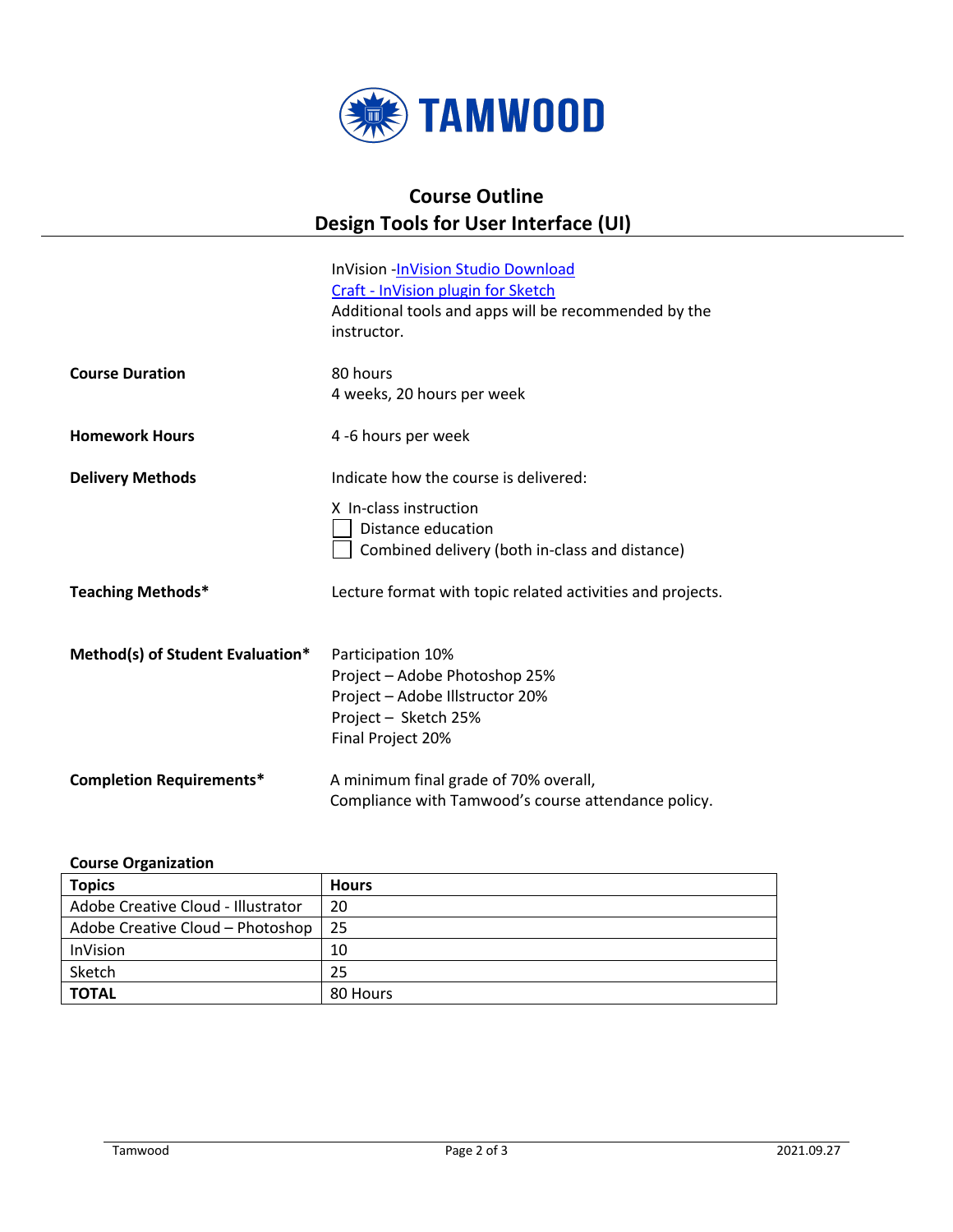

## **Course Outline Design Tools for User Interface (UI)**

|                                  | InVision - InVision Studio Download                        |
|----------------------------------|------------------------------------------------------------|
|                                  | Craft - InVision plugin for Sketch                         |
|                                  | Additional tools and apps will be recommended by the       |
|                                  | instructor.                                                |
|                                  |                                                            |
| <b>Course Duration</b>           | 80 hours                                                   |
|                                  | 4 weeks, 20 hours per week                                 |
|                                  |                                                            |
| <b>Homework Hours</b>            | 4 -6 hours per week                                        |
| <b>Delivery Methods</b>          | Indicate how the course is delivered:                      |
|                                  | X In-class instruction                                     |
|                                  | Distance education                                         |
|                                  | Combined delivery (both in-class and distance)             |
|                                  |                                                            |
| <b>Teaching Methods*</b>         | Lecture format with topic related activities and projects. |
|                                  |                                                            |
| Method(s) of Student Evaluation* | Participation 10%                                          |
|                                  | Project - Adobe Photoshop 25%                              |
|                                  |                                                            |
|                                  | Project - Adobe Illstructor 20%                            |
|                                  | Project - Sketch 25%                                       |
|                                  | Final Project 20%                                          |
| <b>Completion Requirements*</b>  | A minimum final grade of 70% overall,                      |
|                                  | Compliance with Tamwood's course attendance policy.        |
|                                  |                                                            |

## **Course Organization**

| <b>Topics</b>                      | <b>Hours</b> |
|------------------------------------|--------------|
| Adobe Creative Cloud - Illustrator | 20           |
| Adobe Creative Cloud - Photoshop   | -25          |
| <b>InVision</b>                    | 10           |
| Sketch                             | 25           |
| <b>TOTAL</b>                       | 80 Hours     |